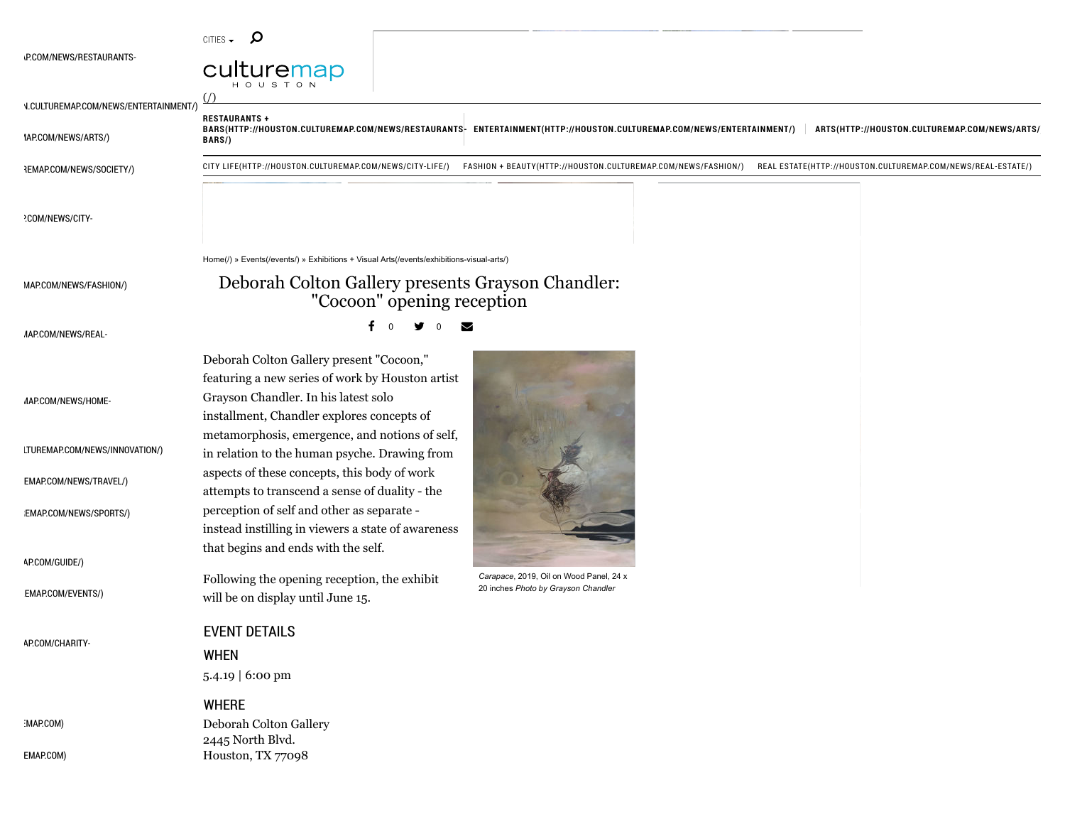| CITIFS |  |
|--------|--|
|        |  |

**RESTAURANTS +**

**BARS/)**



\!CULTUREMAP.COM/NEWS/ENTERTAINMENT/)

 $IAP:COM/NEWS/ARTS/$ 

 $HEMAP.COM/NEWS/SOCIETY/$ 

[CITY LIFE\(HTTP://HOUSTON.CULTUREMAP.COM/NEWS/CITY-LIFE/\)](http://houston.culturemap.com/news/city-life/) [FASHION + BEAUTY\(HTTP://HOUSTON.CULTUREMAP.COM/NEWS/FASHION/\)](http://houston.culturemap.com/news/fashion/) [REAL ESTATE\(HTTP://HOUSTON.CULTUREMAP.COM/NEWS/REAL-ESTATE/\)](http://houston.culturemap.com/news/real-estate/)

BARS(HTTP://HOUSTON.CULTUREMAP.COM/NEWS/RESTAURANTS<sup>L</sup> [ENTERTAINMENT\(HTTP://HOUSTON.CULTUREMAP.COM/NEWS/ENTERTAINMENT/\)](http://houston.culturemap.com/news/entertainment/) | ARTS(HTTP://HOUSTON.CULTUREMAP.COM/NEWS/ARTS/

#### $?$ COM/NEWS/CITY-

[Home\(/\)](http://houston.culturemap.com/) » [Events\(/events/\)](http://houston.culturemap.com/events/) » [Exhibitions + Visual Arts\(/events/exhibitions-visual-arts/\)](http://houston.culturemap.com/events/exhibitions-visual-arts/)

Deborah Colton Gallery present "Cocoon," featuring a new series of work by Houston artist

installment, Chandler explores concepts of metamorphosis, emergence, and notions of self, in relation to the human psyche. Drawing from aspects of these concepts, this body of work attempts to transcend a sense of duality - the perception of self and other as separate -

instead instilling in viewers a state of awareness

Following the opening reception, the exhibit

Grayson Chandler. In his latest solo

that begins and ends with the self.

will be on display until June 15.

 $MAPCOMM/NEWS/FASHION/$ 

## Deborah Colton Gallery presents Grayson Chandler: "Cocoon" opening reception

 $\overline{MAP}$ .COM/NEWS/REAL-

f 0 y 0 y

 $MAP$ COM/NEWS/HOME-

[LTUREMAP.COM/NEWS/INNOVATION/\)](http://houston.culturemap.com/news/innovation/)

[EMAP.COM/NEWS/TRAVEL/\)](http://houston.culturemap.com/news/travel/)

:EMAP.COM/NEWS/SPORTS/)

[AP.COM/GUIDE/\)](http://houston.culturemap.com/guide/)

 $EMAP$ .COM/EVENTS/)

[AP.COM/CHARITY-](http://houston.culturemap.com/charity-guide/)

:MAP.COM)

[EMAP.COM\)](http://dallas.culturemap.com/)

#### WHERE Deborah Colton Gallery 2445 North Blvd. Houston, TX 77098

EVENT DETAILS

5.4.19 | 6:00 pm

WHEN



*Carapace*, 2019, Oil on Wood Panel, 24 x 20 inches *Photo by Grayson Chandler*